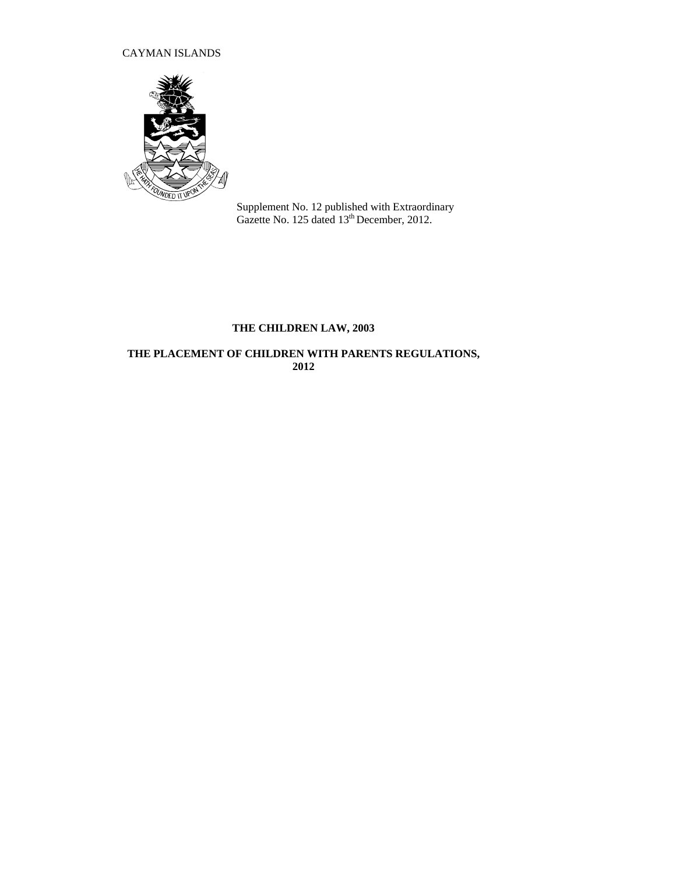## CAYMAN ISLANDS



Supplement No. 12 published with Extraordinary Gazette No. 125 dated 13<sup>th</sup> December, 2012.

# **THE CHILDREN LAW, 2003**

## **THE PLACEMENT OF CHILDREN WITH PARENTS REGULATIONS, 2012**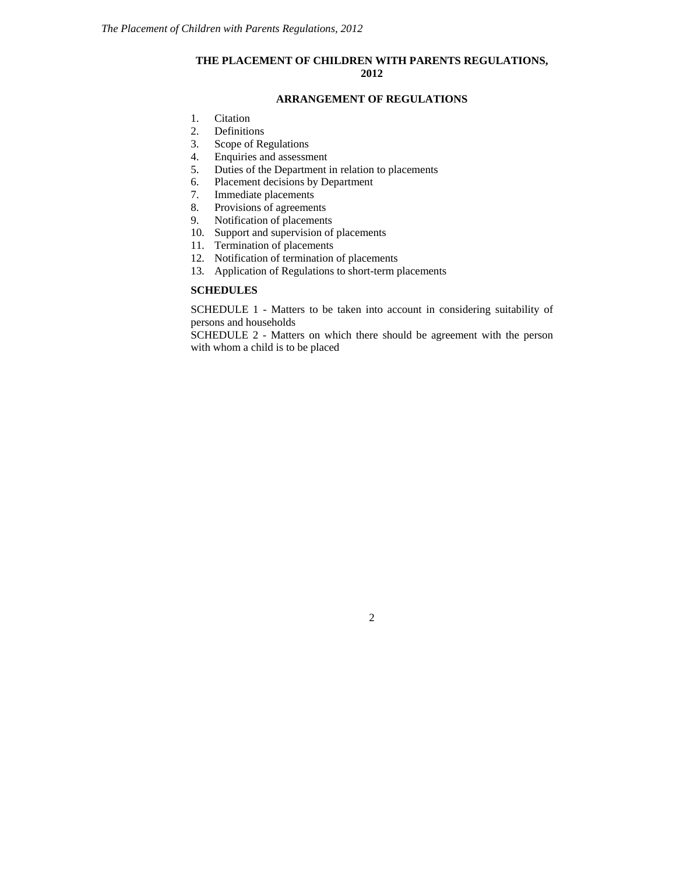### **THE PLACEMENT OF CHILDREN WITH PARENTS REGULATIONS, 2012**

### **ARRANGEMENT OF REGULATIONS**

- [1.](http://www.opsi.gov.uk/si/si1991/Uksi_19910910_en_2.htm#mdiv1) Citation
- [2.](http://www.opsi.gov.uk/si/si1991/Uksi_19910910_en_2.htm#mdiv2) Definitions
- 3. Scope of Regulations<br>4. Enquiries and assessm
- [4.](http://www.opsi.gov.uk/si/si1991/Uksi_19910910_en_3.htm#mdiv3) Enquiries and assessment<br>5. Duties of the Department is
- Duties of the Department in relation to placements
- [6.](http://www.opsi.gov.uk/si/si1991/Uksi_19910910_en_3.htm#mdiv5) Placement decisions by Department
- [7.](http://www.opsi.gov.uk/si/si1991/Uksi_19910910_en_3.htm#mdiv6) Immediate placements
- [8.](http://www.opsi.gov.uk/si/si1991/Uksi_19910910_en_3.htm#mdiv7) Provisions of agreements
- [9.](http://www.opsi.gov.uk/si/si1991/Uksi_19910910_en_3.htm#mdiv9) Notification of placements
- 10. Support and supervision of placements
- 11. Termination of placements
- 12. Notification of termination of placements
- 13. Application of Regulations to short-term placements

## **SCHEDULES**

SCHEDULE 1 - Matters to be taken into account in considering suitability of persons and households

SCHEDULE 2 - Matters on which there should be agreement with the person with whom a child is to be placed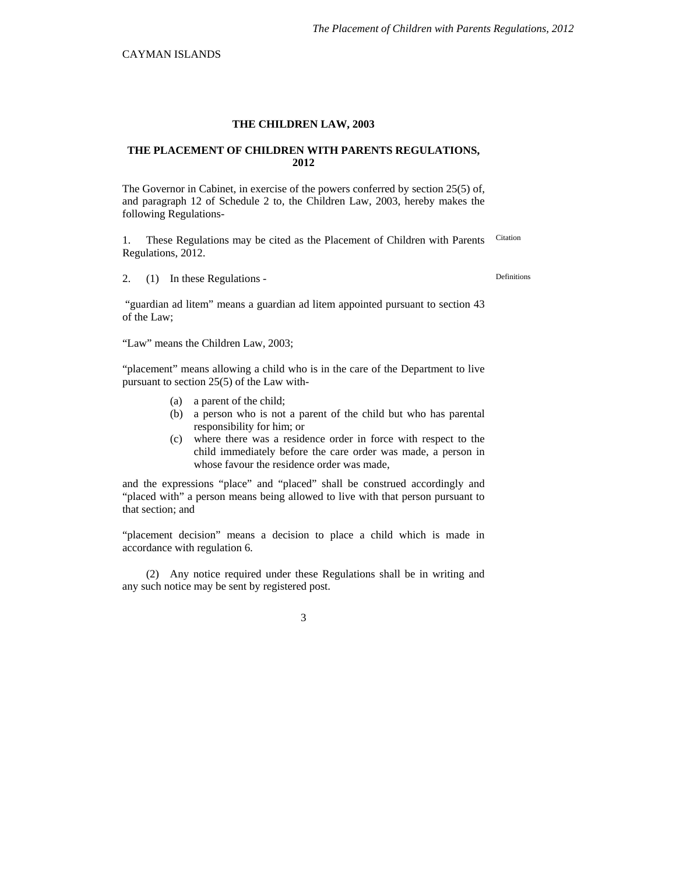#### **THE CHILDREN LAW, 2003**

#### **THE PLACEMENT OF CHILDREN WITH PARENTS REGULATIONS, 2012**

The Governor in Cabinet, in exercise of the powers conferred by section 25(5) of, and paragraph 12 of Schedule 2 to, the Children Law, 2003, hereby makes the following Regulations-

1. These Regulations may be cited as the Placement of Children with Parents Citation Regulations, 2012.

2. (1) In these Regulations - Definitions

 "guardian ad litem" means a guardian ad litem appointed pursuant to section 43 of the Law;

"Law" means the Children Law, 2003;

"placement" means allowing a child who is in the care of the Department to live pursuant to section 25(5) of the Law with-

- (a) a parent of the child;
- (b) a person who is not a parent of the child but who has parental responsibility for him; or
- (c) where there was a residence order in force with respect to the child immediately before the care order was made, a person in whose favour the residence order was made,

and the expressions "place" and "placed" shall be construed accordingly and "placed with" a person means being allowed to live with that person pursuant to that section; and

"placement decision" means a decision to place a child which is made in accordance with regulation 6.

(2) Any notice required under these Regulations shall be in writing and any such notice may be sent by registered post.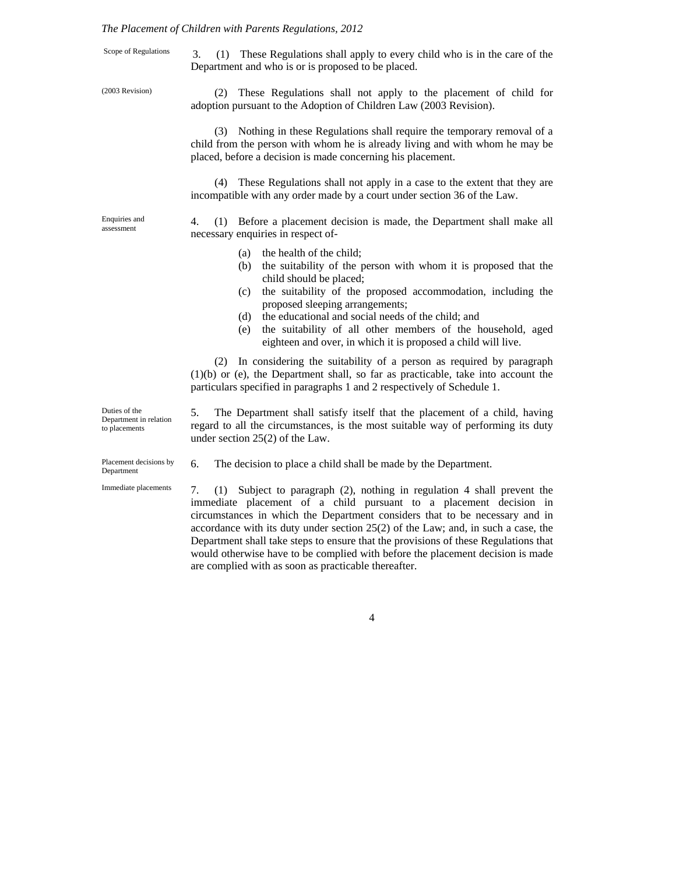#### *The Placement of Children with Parents Regulations, 2012*

Scope of Regulations 3. (1) These Regulations shall apply to every child who is in the care of the Department and who is or is proposed to be placed.

(2003 Revision)

(2) These Regulations shall not apply to the placement of child for adoption pursuant to the Adoption of Children Law (2003 Revision).

(3) Nothing in these Regulations shall require the temporary removal of a child from the person with whom he is already living and with whom he may be placed, before a decision is made concerning his placement.

(4) These Regulations shall not apply in a case to the extent that they are incompatible with any order made by a court under section 36 of the Law.

Enquiries and assessment

Duties of the

to placements

4. (1) Before a placement decision is made, the Department shall make all necessary enquiries in respect of-

- (a) the health of the child;
- (b) the suitability of the person with whom it is proposed that the child should be placed;
- (c) the suitability of the proposed accommodation, including the proposed sleeping arrangements;
- (d) the educational and social needs of the child; and
- (e) the suitability of all other members of the household, aged eighteen and over, in which it is proposed a child will live.

(2) In considering the suitability of a person as required by paragraph (1)(b) or (e), the Department shall, so far as practicable, take into account the particulars specified in paragraphs 1 and 2 respectively of Schedule 1.

5. The Department shall satisfy itself that the placement of a child, having regard to all the circumstances, is the most suitable way of performing its duty under section 25(2) of the Law. Department in relation

Placement decisions by  $\overline{6}$ . The decision to place a child shall be made by the Department. Department

7. (1) Subject to paragraph (2), nothing in regulation 4 shall prevent the immediate placement of a child pursuant to a placement decision in circumstances in which the Department considers that to be necessary and in accordance with its duty under section 25(2) of the Law; and, in such a case, the Department shall take steps to ensure that the provisions of these Regulations that would otherwise have to be complied with before the placement decision is made are complied with as soon as practicable thereafter. Immediate placements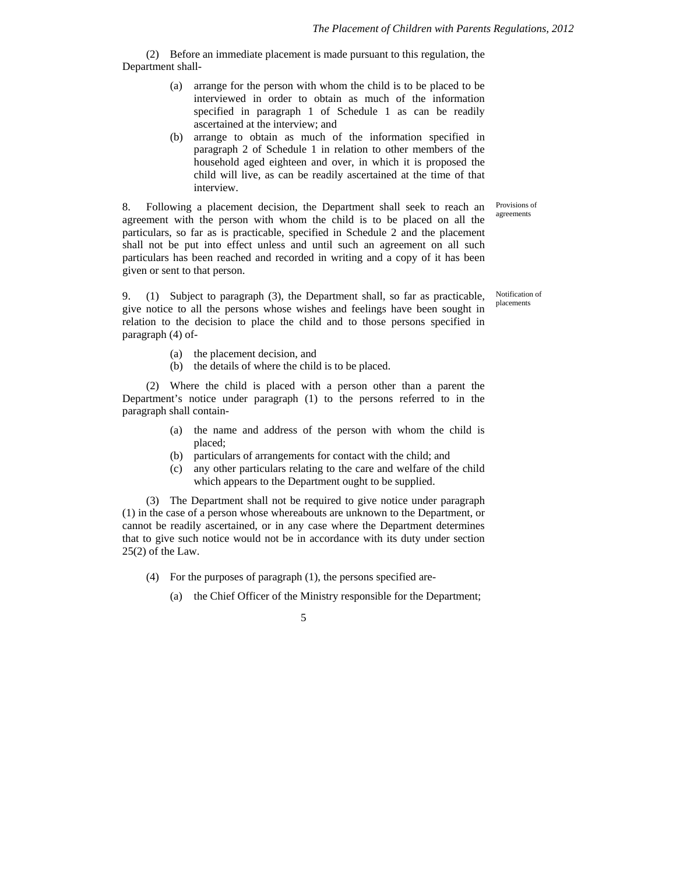(2) Before an immediate placement is made pursuant to this regulation, the Department shall-

- (a) arrange for the person with whom the child is to be placed to be interviewed in order to obtain as much of the information specified in paragraph 1 of Schedule 1 as can be readily ascertained at the interview; and
- (b) arrange to obtain as much of the information specified in paragraph 2 of Schedule 1 in relation to other members of the household aged eighteen and over, in which it is proposed the child will live, as can be readily ascertained at the time of that interview.

8. Following a placement decision, the Department shall seek to reach an agreement with the person with whom the child is to be placed on all the particulars, so far as is practicable, specified in Schedule 2 and the placement Provisions of agreements

given or sent to that person. 9. (1) Subject to paragraph (3), the Department shall, so far as practicable, give notice to all the persons whose wishes and feelings have been sought in relation to the decision to place the child and to those persons specified in

shall not be put into effect unless and until such an agreement on all such particulars has been reached and recorded in writing and a copy of it has been

> Notification of placements

(a) the placement decision, and

paragraph (4) of-

(b) the details of where the child is to be placed.

(2) Where the child is placed with a person other than a parent the Department's notice under paragraph (1) to the persons referred to in the paragraph shall contain-

- (a) the name and address of the person with whom the child is placed;
- (b) particulars of arrangements for contact with the child; and
- (c) any other particulars relating to the care and welfare of the child which appears to the Department ought to be supplied.

(3) The Department shall not be required to give notice under paragraph (1) in the case of a person whose whereabouts are unknown to the Department, or cannot be readily ascertained, or in any case where the Department determines that to give such notice would not be in accordance with its duty under section  $25(2)$  of the Law.

- (4) For the purposes of paragraph (1), the persons specified are-
	- (a) the Chief Officer of the Ministry responsible for the Department;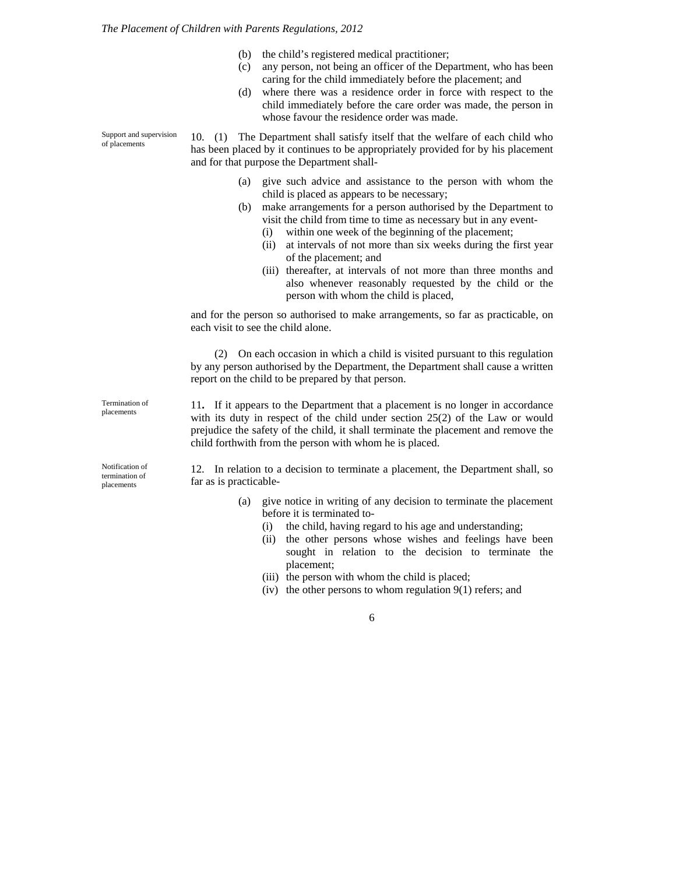- (b) the child's registered medical practitioner;
- (c) any person, not being an officer of the Department, who has been caring for the child immediately before the placement; and
- (d) where there was a residence order in force with respect to the child immediately before the care order was made, the person in whose favour the residence order was made.

10. (1) The Department shall satisfy itself that the welfare of each child who has been placed by it continues to be appropriately provided for by his placement and for that purpose the Department shall-

- (a) give such advice and assistance to the person with whom the child is placed as appears to be necessary;
- (b) make arrangements for a person authorised by the Department to visit the child from time to time as necessary but in any event-
	- (i) within one week of the beginning of the placement;
	- (ii) at intervals of not more than six weeks during the first year of the placement; and
	- (iii) thereafter, at intervals of not more than three months and also whenever reasonably requested by the child or the person with whom the child is placed,

and for the person so authorised to make arrangements, so far as practicable, on each visit to see the child alone.

(2) On each occasion in which a child is visited pursuant to this regulation by any person authorised by the Department, the Department shall cause a written report on the child to be prepared by that person.

11**.** If it appears to the Department that a placement is no longer in accordance with its duty in respect of the child under section 25(2) of the Law or would prejudice the safety of the child, it shall terminate the placement and remove the child forthwith from the person with whom he is placed.

12. In relation to a decision to terminate a placement, the Department shall, so far as is practicable-

- (a) give notice in writing of any decision to terminate the placement before it is terminated to-
	- (i) the child, having regard to his age and understanding;
	- (ii) the other persons whose wishes and feelings have been sought in relation to the decision to terminate the placement;
	- (iii) the person with whom the child is placed;
	- (iv) the other persons to whom regulation  $9(1)$  refers; and

6

Support and supervision of placements

Termination of placements

Notification of termination of placements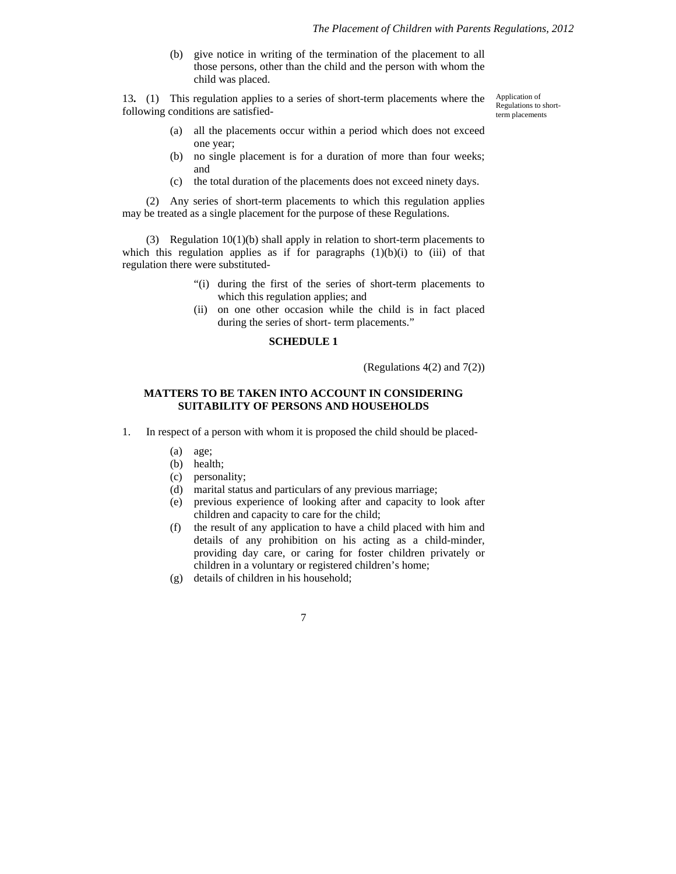(b) give notice in writing of the termination of the placement to all those persons, other than the child and the person with whom the child was placed.

13**.** (1) This regulation applies to a series of short-term placements where the following conditions are satisfied-

Application of Regulations to shortterm placements

- (a) all the placements occur within a period which does not exceed one year;
- (b) no single placement is for a duration of more than four weeks; and
- (c) the total duration of the placements does not exceed ninety days.

(2) Any series of short-term placements to which this regulation applies may be treated as a single placement for the purpose of these Regulations.

(3) Regulation 10(1)(b) shall apply in relation to short-term placements to which this regulation applies as if for paragraphs  $(1)(b)(i)$  to  $(iii)$  of that regulation there were substituted-

- "(i) during the first of the series of short-term placements to which this regulation applies; and
- (ii) on one other occasion while the child is in fact placed during the series of short- term placements."

### **SCHEDULE 1**

(Regulations 4(2) and 7(2))

#### **MATTERS TO BE TAKEN INTO ACCOUNT IN CONSIDERING SUITABILITY OF PERSONS AND HOUSEHOLDS**

- 1. In respect of a person with whom it is proposed the child should be placed-
	- (a) age;
	- (b) health;
	- (c) personality;
	- (d) marital status and particulars of any previous marriage;
	- (e) previous experience of looking after and capacity to look after children and capacity to care for the child;
	- (f) the result of any application to have a child placed with him and details of any prohibition on his acting as a child-minder, providing day care, or caring for foster children privately or children in a voluntary or registered children's home;
	- (g) details of children in his household;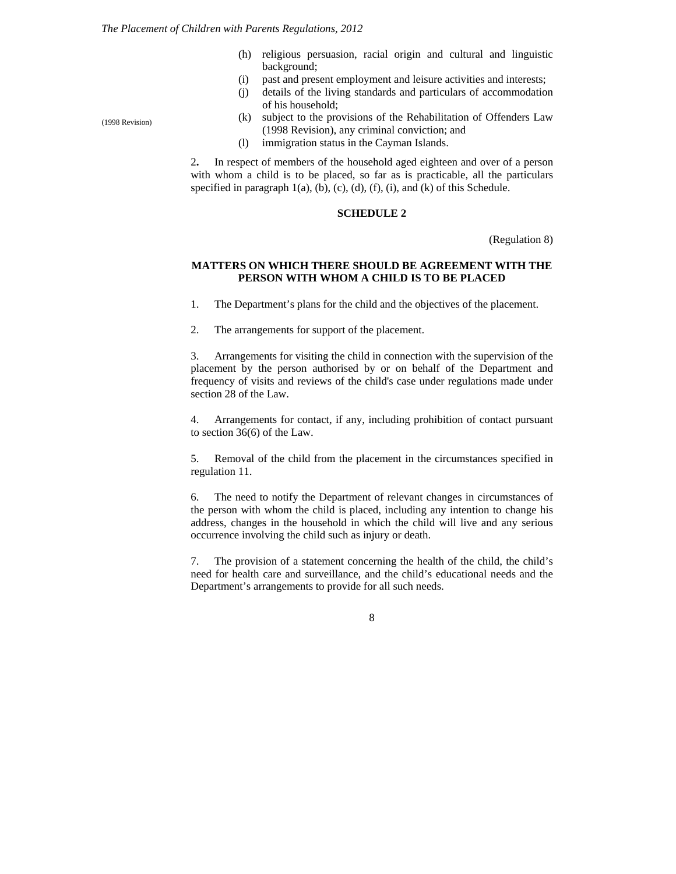- (h) religious persuasion, racial origin and cultural and linguistic background;
- (i) past and present employment and leisure activities and interests;
- (j) details of the living standards and particulars of accommodation of his household;
- (k) subject to the provisions of the Rehabilitation of Offenders Law (1998 Revision), any criminal conviction; and
- (l) immigration status in the Cayman Islands.

2**.** In respect of members of the household aged eighteen and over of a person with whom a child is to be placed, so far as is practicable, all the particulars specified in paragraph 1(a), (b), (c), (d), (f), (i), and (k) of this Schedule.

#### **SCHEDULE 2**

(Regulation 8)

#### **MATTERS ON WHICH THERE SHOULD BE AGREEMENT WITH THE PERSON WITH WHOM A CHILD IS TO BE PLACED**

1. The Department's plans for the child and the objectives of the placement.

2. The arrangements for support of the placement.

3. Arrangements for visiting the child in connection with the supervision of the placement by the person authorised by or on behalf of the Department and frequency of visits and reviews of the child's case under regulations made under section 28 of the Law.

4. Arrangements for contact, if any, including prohibition of contact pursuant to section 36(6) of the Law.

5. Removal of the child from the placement in the circumstances specified in regulation 11.

6. The need to notify the Department of relevant changes in circumstances of the person with whom the child is placed, including any intention to change his address, changes in the household in which the child will live and any serious occurrence involving the child such as injury or death.

7. The provision of a statement concerning the health of the child, the child's need for health care and surveillance, and the child's educational needs and the Department's arrangements to provide for all such needs.

8

(1998 Revision)